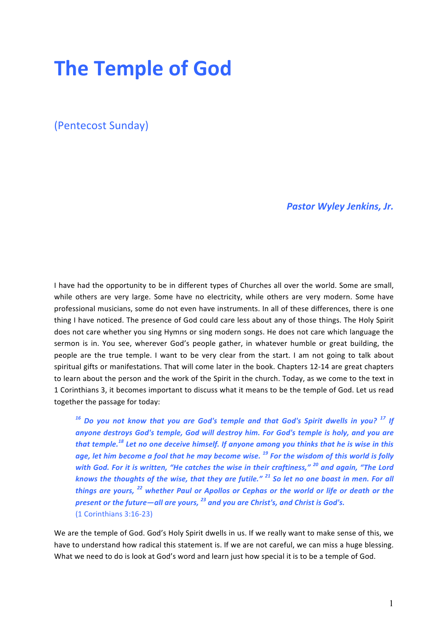# **The Temple of God**

(Pentecost Sunday)

**Pastor Wyley Jenkins, Jr.** 

I have had the opportunity to be in different types of Churches all over the world. Some are small, while others are very large. Some have no electricity, while others are very modern. Some have professional musicians, some do not even have instruments. In all of these differences, there is one thing I have noticed. The presence of God could care less about any of those things. The Holy Spirit does not care whether you sing Hymns or sing modern songs. He does not care which language the sermon is in. You see, wherever God's people gather, in whatever humble or great building, the people are the true temple. I want to be very clear from the start. I am not going to talk about spiritual gifts or manifestations. That will come later in the book. Chapters 12-14 are great chapters to learn about the person and the work of the Spirit in the church. Today, as we come to the text in 1 Corinthians 3, it becomes important to discuss what it means to be the temple of God. Let us read together the passage for today:

<sup>16</sup> Do you not know that you are God's temple and that God's Spirit dwells in you?<sup>17</sup> If anyone destroys God's temple, God will destroy him. For God's temple is holy, and you are that temple.<sup>18</sup> Let no one deceive himself. If anyone among you thinks that he is wise in this age, let him become a fool that he may become wise.<sup>19</sup> For the wisdom of this world is folly with God. For it is written, "He catches the wise in their craftiness," <sup>20</sup> and again, "The Lord *knows the thoughts of the wise, that they are futile."* <sup>21</sup> So let no one boast in men. For all *things are yours,* <sup>22</sup> whether Paul or Apollos or Cephas or the world or life or death or the *present or the future—all are yours,* <sup>23</sup> and you are Christ's, and Christ is God's. (1 Corinthians 3:16-23)

We are the temple of God. God's Holy Spirit dwells in us. If we really want to make sense of this, we have to understand how radical this statement is. If we are not careful, we can miss a huge blessing. What we need to do is look at God's word and learn just how special it is to be a temple of God.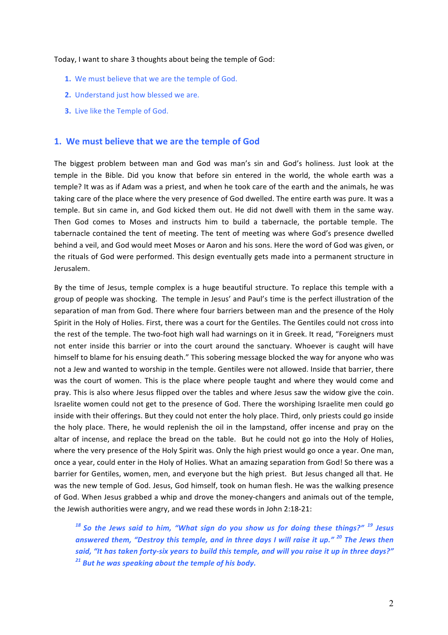#### Today, I want to share 3 thoughts about being the temple of God:

- **1.** We must believe that we are the temple of God.
- **2.** Understand just how blessed we are.
- **3.** Live like the Temple of God.

#### **1.** We must believe that we are the temple of God

The biggest problem between man and God was man's sin and God's holiness. Just look at the temple in the Bible. Did you know that before sin entered in the world, the whole earth was a temple? It was as if Adam was a priest, and when he took care of the earth and the animals, he was taking care of the place where the very presence of God dwelled. The entire earth was pure. It was a temple. But sin came in, and God kicked them out. He did not dwell with them in the same way. Then God comes to Moses and instructs him to build a tabernacle, the portable temple. The tabernacle contained the tent of meeting. The tent of meeting was where God's presence dwelled behind a veil, and God would meet Moses or Aaron and his sons. Here the word of God was given, or the rituals of God were performed. This design eventually gets made into a permanent structure in Jerusalem. 

By the time of Jesus, temple complex is a huge beautiful structure. To replace this temple with a group of people was shocking. The temple in Jesus' and Paul's time is the perfect illustration of the separation of man from God. There where four barriers between man and the presence of the Holy Spirit in the Holy of Holies. First, there was a court for the Gentiles. The Gentiles could not cross into the rest of the temple. The two-foot high wall had warnings on it in Greek. It read, "Foreigners must not enter inside this barrier or into the court around the sanctuary. Whoever is caught will have himself to blame for his ensuing death." This sobering message blocked the way for anyone who was not a Jew and wanted to worship in the temple. Gentiles were not allowed. Inside that barrier, there was the court of women. This is the place where people taught and where they would come and pray. This is also where Jesus flipped over the tables and where Jesus saw the widow give the coin. Israelite women could not get to the presence of God. There the worshiping Israelite men could go inside with their offerings. But they could not enter the holy place. Third, only priests could go inside the holy place. There, he would replenish the oil in the lampstand, offer incense and pray on the altar of incense, and replace the bread on the table. But he could not go into the Holy of Holies, where the very presence of the Holy Spirit was. Only the high priest would go once a year. One man, once a year, could enter in the Holy of Holies. What an amazing separation from God! So there was a barrier for Gentiles, women, men, and everyone but the high priest. But Jesus changed all that. He was the new temple of God. Jesus, God himself, took on human flesh. He was the walking presence of God. When Jesus grabbed a whip and drove the money-changers and animals out of the temple, the Jewish authorities were angry, and we read these words in John 2:18-21:

<sup>18</sup> So the Jews said to him, "What sign do you show us for doing these things?" <sup>19</sup> Jesus answered them, "Destroy this temple, and in three days I will raise it up." <sup>20</sup> The Jews then said, "It has taken forty-six years to build this temple, and will you raise it up in three days?" <sup>21</sup> But he was speaking about the temple of his body.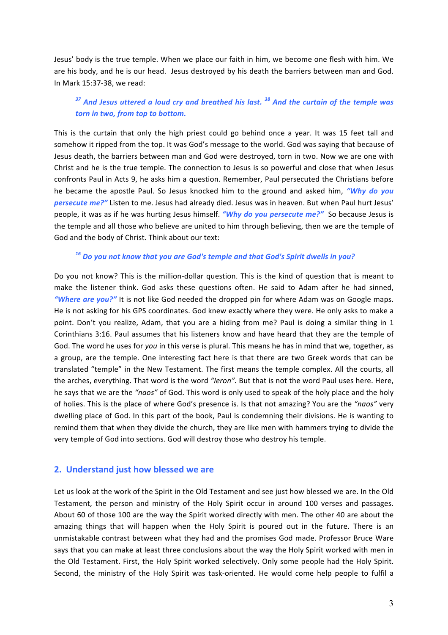Jesus' body is the true temple. When we place our faith in him, we become one flesh with him. We are his body, and he is our head. Jesus destroyed by his death the barriers between man and God. In Mark 15:37-38, we read:

## <sup>37</sup> And Jesus uttered a loud cry and breathed his last.<sup>38</sup> And the curtain of the temple was *torn in two, from top to bottom.*

This is the curtain that only the high priest could go behind once a year. It was 15 feet tall and somehow it ripped from the top. It was God's message to the world. God was saying that because of Jesus death, the barriers between man and God were destroyed, torn in two. Now we are one with Christ and he is the true temple. The connection to Jesus is so powerful and close that when Jesus confronts Paul in Acts 9, he asks him a question. Remember, Paul persecuted the Christians before he became the apostle Paul. So Jesus knocked him to the ground and asked him, "Why do you *persecute me?"* Listen to me. Jesus had already died. Jesus was in heaven. But when Paul hurt Jesus' people, it was as if he was hurting Jesus himself. *"Why do you persecute me?"* So because Jesus is the temple and all those who believe are united to him through believing, then we are the temple of God and the body of Christ. Think about our text:

#### <sup>16</sup> Do you not know that you are God's temple and that God's Spirit dwells in you?

Do you not know? This is the million-dollar question. This is the kind of question that is meant to make the listener think. God asks these questions often. He said to Adam after he had sinned, "Where are you?" It is not like God needed the dropped pin for where Adam was on Google maps. He is not asking for his GPS coordinates. God knew exactly where they were. He only asks to make a point. Don't you realize, Adam, that you are a hiding from me? Paul is doing a similar thing in 1 Corinthians 3:16. Paul assumes that his listeners know and have heard that they are the temple of God. The word he uses for *you* in this verse is plural. This means he has in mind that we, together, as a group, are the temple. One interesting fact here is that there are two Greek words that can be translated "temple" in the New Testament. The first means the temple complex. All the courts, all the arches, everything. That word is the word "Ieron". But that is not the word Paul uses here. Here, he says that we are the "naos" of God. This word is only used to speak of the holy place and the holy of holies. This is the place of where God's presence is. Is that not amazing? You are the "naos" very dwelling place of God. In this part of the book, Paul is condemning their divisions. He is wanting to remind them that when they divide the church, they are like men with hammers trying to divide the very temple of God into sections. God will destroy those who destroy his temple.

### **2.** Understand just how blessed we are

Let us look at the work of the Spirit in the Old Testament and see just how blessed we are. In the Old Testament, the person and ministry of the Holy Spirit occur in around 100 verses and passages. About 60 of those 100 are the way the Spirit worked directly with men. The other 40 are about the amazing things that will happen when the Holy Spirit is poured out in the future. There is an unmistakable contrast between what they had and the promises God made. Professor Bruce Ware says that you can make at least three conclusions about the way the Holy Spirit worked with men in the Old Testament. First, the Holy Spirit worked selectively. Only some people had the Holy Spirit. Second, the ministry of the Holy Spirit was task-oriented. He would come help people to fulfil a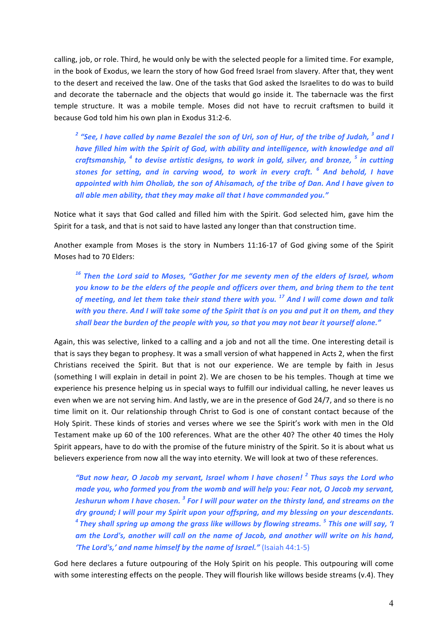calling, job, or role. Third, he would only be with the selected people for a limited time. For example, in the book of Exodus, we learn the story of how God freed Israel from slavery. After that, they went to the desert and received the law. One of the tasks that God asked the Israelites to do was to build and decorate the tabernacle and the objects that would go inside it. The tabernacle was the first temple structure. It was a mobile temple. Moses did not have to recruit craftsmen to build it because God told him his own plan in Exodus 31:2-6.

<sup>2</sup> "See, I have called by name Bezalel the son of Uri, son of Hur, of the tribe of Judah, <sup>3</sup> and I have filled him with the Spirit of God, with ability and intelligence, with knowledge and all *craftsmanship,* <sup>4</sup> to devise artistic designs, to work in gold, silver, and bronze, <sup>5</sup> in cutting *stones for setting, and in carving wood, to work in every craft.* <sup>6</sup> And behold, I have *appointed with him Oholiab, the son of Ahisamach, of the tribe of Dan. And I have given to* all able men ability, that they may make all that I have commanded you."

Notice what it says that God called and filled him with the Spirit. God selected him, gave him the Spirit for a task, and that is not said to have lasted any longer than that construction time.

Another example from Moses is the story in Numbers 11:16-17 of God giving some of the Spirit Moses had to 70 Elders:

<sup>16</sup> Then the Lord said to Moses, "Gather for me seventy men of the elders of Israel, whom *you* know to be the elders of the people and officers over them, and bring them to the tent of meeting, and let them take their stand there with you.<sup>17</sup> And I will come down and talk *with* you there. And I will take some of the Spirit that is on you and put it on them, and they shall bear the burden of the people with you, so that you may not bear it yourself alone."

Again, this was selective, linked to a calling and a job and not all the time. One interesting detail is that is says they began to prophesy. It was a small version of what happened in Acts 2, when the first Christians received the Spirit. But that is not our experience. We are temple by faith in Jesus (something I will explain in detail in point 2). We are chosen to be his temples. Though at time we experience his presence helping us in special ways to fulfill our individual calling, he never leaves us even when we are not serving him. And lastly, we are in the presence of God 24/7, and so there is no time limit on it. Our relationship through Christ to God is one of constant contact because of the Holy Spirit. These kinds of stories and verses where we see the Spirit's work with men in the Old Testament make up 60 of the 100 references. What are the other 40? The other 40 times the Holy Spirit appears, have to do with the promise of the future ministry of the Spirit. So it is about what us believers experience from now all the way into eternity. We will look at two of these references.

*"But now hear, O Jacob my servant, Israel whom I have chosen!* <sup>2</sup> *Thus says the Lord who made you, who formed you from the womb and will help you: Fear not, O Jacob my servant, Jeshurun* whom I have chosen.<sup>3</sup> For I will pour water on the thirsty land, and streams on the *dry* ground; I will pour my Spirit upon your offspring, and my blessing on your descendants. <sup>4</sup> They shall spring up among the grass like willows by flowing streams. <sup>5</sup> This one will say, 'I *am* the Lord's, another will call on the name of Jacob, and another will write on his hand, **'The Lord's,' and name himself by the name of Israel."** (Isaiah 44:1-5)

God here declares a future outpouring of the Holy Spirit on his people. This outpouring will come with some interesting effects on the people. They will flourish like willows beside streams (v.4). They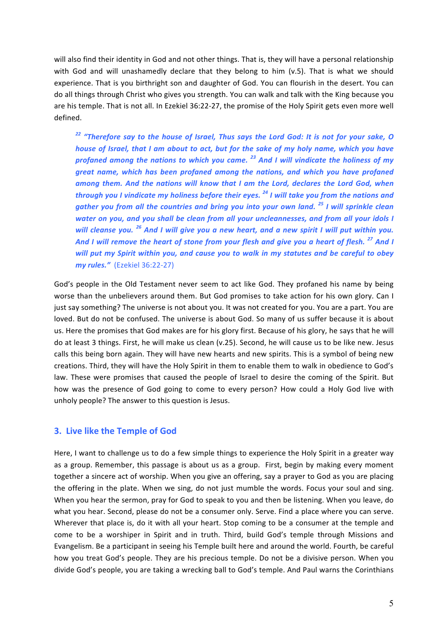will also find their identity in God and not other things. That is, they will have a personal relationship with God and will unashamedly declare that they belong to him (v.5). That is what we should experience. That is you birthright son and daughter of God. You can flourish in the desert. You can do all things through Christ who gives you strength. You can walk and talk with the King because you are his temple. That is not all. In Ezekiel 36:22-27, the promise of the Holy Spirit gets even more well defined. 

<sup>22</sup> "Therefore say to the house of Israel, Thus says the Lord God: It is not for your sake, O *house* of *Israel, that I am about to act, but for the sake of my holy name, which you have profaned among the nations to which you came.* <sup>23</sup> And I will vindicate the holiness of my great name, which has been profaned among the nations, and which you have profaned among them. And the nations will know that I am the Lord, declares the Lord God, when *through you I vindicate my holiness before their eyes.* <sup>24</sup> *I will take you from the nations and gather* you from all the countries and bring you into your own land.<sup>25</sup> I will sprinkle clean *water* on you, and you shall be clean from all your uncleannesses, and from all your idols I *will cleanse you.* <sup>26</sup> And I will give you a new heart, and a new spirit I will put within you. And I will remove the heart of stone from your flesh and give you a heart of flesh.<sup>27</sup> And I will put my Spirit within you, and cause you to walk in my statutes and be careful to obey *my rules.*" (Ezekiel 36:22-27)

God's people in the Old Testament never seem to act like God. They profaned his name by being worse than the unbelievers around them. But God promises to take action for his own glory. Can I just say something? The universe is not about you. It was not created for you. You are a part. You are loved. But do not be confused. The universe is about God. So many of us suffer because it is about us. Here the promises that God makes are for his glory first. Because of his glory, he says that he will do at least 3 things. First, he will make us clean (v.25). Second, he will cause us to be like new. Jesus calls this being born again. They will have new hearts and new spirits. This is a symbol of being new creations. Third, they will have the Holy Spirit in them to enable them to walk in obedience to God's law. These were promises that caused the people of Israel to desire the coming of the Spirit. But how was the presence of God going to come to every person? How could a Holy God live with unholy people? The answer to this question is Jesus.

### **3. Live like the Temple of God**

Here, I want to challenge us to do a few simple things to experience the Holy Spirit in a greater way as a group. Remember, this passage is about us as a group. First, begin by making every moment together a sincere act of worship. When you give an offering, say a prayer to God as you are placing the offering in the plate. When we sing, do not just mumble the words. Focus your soul and sing. When you hear the sermon, pray for God to speak to you and then be listening. When you leave, do what you hear. Second, please do not be a consumer only. Serve. Find a place where you can serve. Wherever that place is, do it with all your heart. Stop coming to be a consumer at the temple and come to be a worshiper in Spirit and in truth. Third, build God's temple through Missions and Evangelism. Be a participant in seeing his Temple built here and around the world. Fourth, be careful how you treat God's people. They are his precious temple. Do not be a divisive person. When you divide God's people, you are taking a wrecking ball to God's temple. And Paul warns the Corinthians